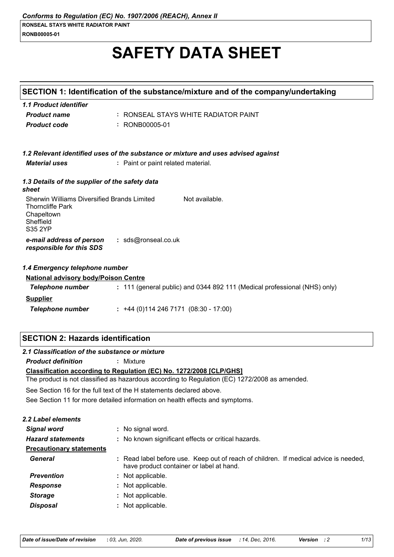# **SAFETY DATA SHEET**

|                                                                                                              | SECTION 1: Identification of the substance/mixture and of the company/undertaking                                                |
|--------------------------------------------------------------------------------------------------------------|----------------------------------------------------------------------------------------------------------------------------------|
| 1.1 Product identifier                                                                                       |                                                                                                                                  |
| <b>Product name</b>                                                                                          | : RONSEAL STAYS WHITE RADIATOR PAINT                                                                                             |
| <b>Product code</b>                                                                                          | : RONB00005-01                                                                                                                   |
|                                                                                                              |                                                                                                                                  |
|                                                                                                              |                                                                                                                                  |
| <b>Material uses</b>                                                                                         | 1.2 Relevant identified uses of the substance or mixture and uses advised against                                                |
|                                                                                                              | : Paint or paint related material.                                                                                               |
| 1.3 Details of the supplier of the safety data<br>sheet                                                      |                                                                                                                                  |
| Sherwin Williams Diversified Brands Limited<br><b>Thorncliffe Park</b><br>Chapeltown<br>Sheffield<br>S35 2YP | Not available.                                                                                                                   |
| e-mail address of person<br>responsible for this SDS                                                         | : sds@ronseal.co.uk                                                                                                              |
| 1.4 Emergency telephone number                                                                               |                                                                                                                                  |
| <b>National advisory body/Poison Centre</b>                                                                  |                                                                                                                                  |
| <b>Telephone number</b>                                                                                      | : 111 (general public) and 0344 892 111 (Medical professional (NHS) only)                                                        |
| <b>Supplier</b>                                                                                              |                                                                                                                                  |
| <b>Telephone number</b>                                                                                      | $: +44(0)1142467171(08:30 - 17:00)$                                                                                              |
|                                                                                                              |                                                                                                                                  |
| <b>SECTION 2: Hazards identification</b>                                                                     |                                                                                                                                  |
| 2.1 Classification of the substance or mixture                                                               |                                                                                                                                  |
| <b>Product definition</b>                                                                                    | : Mixture                                                                                                                        |
|                                                                                                              | Classification according to Regulation (EC) No. 1272/2008 [CLP/GHS]                                                              |
|                                                                                                              | The product is not classified as hazardous according to Regulation (EC) 1272/2008 as amended.                                    |
|                                                                                                              | See Section 16 for the full text of the H statements declared above.                                                             |
|                                                                                                              | See Section 11 for more detailed information on health effects and symptoms.                                                     |
| 2.2 Label elements                                                                                           |                                                                                                                                  |
| <b>Signal word</b>                                                                                           | : No signal word.                                                                                                                |
| <b>Hazard statements</b>                                                                                     | : No known significant effects or critical hazards.                                                                              |
| <b>Precautionary statements</b>                                                                              |                                                                                                                                  |
| General                                                                                                      | : Read label before use. Keep out of reach of children. If medical advice is needed,<br>have product container or label at hand. |
| <b>Prevention</b>                                                                                            | : Not applicable.                                                                                                                |
| <b>Response</b>                                                                                              | : Not applicable.                                                                                                                |
| <b>Storage</b>                                                                                               | : Not applicable.                                                                                                                |
| <b>Disposal</b>                                                                                              | : Not applicable.                                                                                                                |
|                                                                                                              |                                                                                                                                  |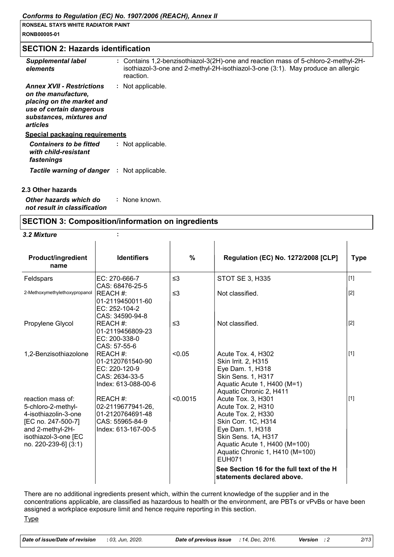**RONSEAL STAYS WHITE RADIATOR PAINT RONB00005-01**

#### **SECTION 2: Hazards identification**

| <b>Supplemental label</b><br>elements                                                                                                                    | : Contains 1,2-benzisothiazol-3(2H)-one and reaction mass of 5-chloro-2-methyl-2H-<br>isothiazol-3-one and 2-methyl-2H-isothiazol-3-one (3:1). May produce an allergic<br>reaction. |
|----------------------------------------------------------------------------------------------------------------------------------------------------------|-------------------------------------------------------------------------------------------------------------------------------------------------------------------------------------|
| <b>Annex XVII - Restrictions</b><br>on the manufacture,<br>placing on the market and<br>use of certain dangerous<br>substances, mixtures and<br>articles | : Not applicable.                                                                                                                                                                   |
| <b>Special packaging requirements</b>                                                                                                                    |                                                                                                                                                                                     |
| <b>Containers to be fitted</b><br>with child-resistant<br>fastenings                                                                                     | : Not applicable.                                                                                                                                                                   |
| Tactile warning of danger                                                                                                                                | : Not applicable.                                                                                                                                                                   |
|                                                                                                                                                          |                                                                                                                                                                                     |
| 2.3 Other hazards                                                                                                                                        |                                                                                                                                                                                     |

*Other hazards which do not result in classification* **:** None known.

#### **SECTION 3: Composition/information on ingredients**

#### *3.2 Mixture* **:**

| <b>Product/ingredient</b><br>name                                                                                                                         | <b>Identifiers</b>                                                                          | $\%$     | <b>Regulation (EC) No. 1272/2008 [CLP]</b>                                                                                                                                                                                                                                                       | <b>Type</b> |
|-----------------------------------------------------------------------------------------------------------------------------------------------------------|---------------------------------------------------------------------------------------------|----------|--------------------------------------------------------------------------------------------------------------------------------------------------------------------------------------------------------------------------------------------------------------------------------------------------|-------------|
| Feldspars                                                                                                                                                 | EC: 270-666-7                                                                               | $\leq$ 3 | <b>STOT SE 3, H335</b>                                                                                                                                                                                                                                                                           | $[1]$       |
| 2-Methoxymethylethoxypropanol                                                                                                                             | CAS: 68476-25-5<br>REACH #:<br>01-2119450011-60<br>EC: 252-104-2<br>CAS: 34590-94-8         | $\leq$ 3 | Not classified.                                                                                                                                                                                                                                                                                  | $[2]$       |
| Propylene Glycol                                                                                                                                          | REACH #:<br>01-2119456809-23<br>EC: 200-338-0<br>CAS: 57-55-6                               | $\leq$ 3 | Not classified.                                                                                                                                                                                                                                                                                  | $[2]$       |
| 1,2-Benzisothiazolone                                                                                                                                     | REACH #:<br>01-2120761540-90<br>EC: 220-120-9<br>CAS: 2634-33-5<br>Index: 613-088-00-6      | < 0.05   | Acute Tox. 4, H302<br>Skin Irrit. 2, H315<br>Eye Dam. 1, H318<br>Skin Sens. 1, H317<br>Aquatic Acute 1, H400 (M=1)<br>Aquatic Chronic 2, H411                                                                                                                                                    | $[1]$       |
| reaction mass of:<br>5-chloro-2-methyl-<br>4-isothiazolin-3-one<br>[EC no. 247-500-7]<br>and 2-methyl-2H-<br>isothiazol-3-one [EC<br>no. 220-239-6] (3:1) | REACH #:<br>02-2119677941-26,<br>01-2120764691-48<br>CAS: 55965-84-9<br>Index: 613-167-00-5 | < 0.0015 | Acute Tox. 3, H301<br>Acute Tox. 2, H310<br>Acute Tox. 2, H330<br>Skin Corr. 1C, H314<br>Eye Dam. 1, H318<br>Skin Sens. 1A, H317<br>Aquatic Acute 1, H400 (M=100)<br>Aquatic Chronic 1, H410 (M=100)<br><b>EUH071</b><br>See Section 16 for the full text of the H<br>statements declared above. | $[1]$       |

There are no additional ingredients present which, within the current knowledge of the supplier and in the concentrations applicable, are classified as hazardous to health or the environment, are PBTs or vPvBs or have been assigned a workplace exposure limit and hence require reporting in this section.

**Type**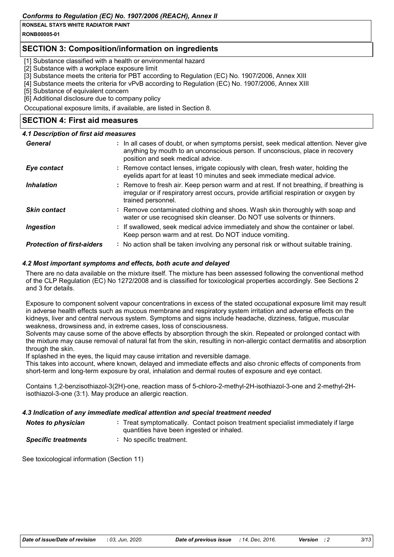**RONB00005-01**

#### **SECTION 3: Composition/information on ingredients**

[1] Substance classified with a health or environmental hazard

[2] Substance with a workplace exposure limit

[3] Substance meets the criteria for PBT according to Regulation (EC) No. 1907/2006, Annex XIII

[4] Substance meets the criteria for vPvB according to Regulation (EC) No. 1907/2006, Annex XIII

[5] Substance of equivalent concern

[6] Additional disclosure due to company policy

Occupational exposure limits, if available, are listed in Section 8.

#### **SECTION 4: First aid measures**

#### *4.1 Description of first aid measures*

| General                           | : In all cases of doubt, or when symptoms persist, seek medical attention. Never give<br>anything by mouth to an unconscious person. If unconscious, place in recovery<br>position and seek medical advice. |
|-----------------------------------|-------------------------------------------------------------------------------------------------------------------------------------------------------------------------------------------------------------|
| Eye contact                       | : Remove contact lenses, irrigate copiously with clean, fresh water, holding the<br>eyelids apart for at least 10 minutes and seek immediate medical advice.                                                |
| <b>Inhalation</b>                 | : Remove to fresh air. Keep person warm and at rest. If not breathing, if breathing is<br>irregular or if respiratory arrest occurs, provide artificial respiration or oxygen by<br>trained personnel.      |
| <b>Skin contact</b>               | : Remove contaminated clothing and shoes. Wash skin thoroughly with soap and<br>water or use recognised skin cleanser. Do NOT use solvents or thinners.                                                     |
| <b>Ingestion</b>                  | : If swallowed, seek medical advice immediately and show the container or label.<br>Keep person warm and at rest. Do NOT induce vomiting.                                                                   |
| <b>Protection of first-aiders</b> | : No action shall be taken involving any personal risk or without suitable training.                                                                                                                        |

#### *4.2 Most important symptoms and effects, both acute and delayed*

There are no data available on the mixture itself. The mixture has been assessed following the conventional method of the CLP Regulation (EC) No 1272/2008 and is classified for toxicological properties accordingly. See Sections 2 and 3 for details.

Exposure to component solvent vapour concentrations in excess of the stated occupational exposure limit may result in adverse health effects such as mucous membrane and respiratory system irritation and adverse effects on the kidneys, liver and central nervous system. Symptoms and signs include headache, dizziness, fatigue, muscular weakness, drowsiness and, in extreme cases, loss of consciousness.

Solvents may cause some of the above effects by absorption through the skin. Repeated or prolonged contact with the mixture may cause removal of natural fat from the skin, resulting in non-allergic contact dermatitis and absorption through the skin.

If splashed in the eyes, the liquid may cause irritation and reversible damage.

This takes into account, where known, delayed and immediate effects and also chronic effects of components from short-term and long-term exposure by oral, inhalation and dermal routes of exposure and eye contact.

Contains 1,2-benzisothiazol-3(2H)-one, reaction mass of 5-chloro-2-methyl-2H-isothiazol-3-one and 2-methyl-2Hisothiazol-3-one (3:1). May produce an allergic reaction.

#### *4.3 Indication of any immediate medical attention and special treatment needed*

| <b>Notes to physician</b>  | : Treat symptomatically. Contact poison treatment specialist immediately if large<br>quantities have been ingested or inhaled. |
|----------------------------|--------------------------------------------------------------------------------------------------------------------------------|
| <b>Specific treatments</b> | No specific treatment.                                                                                                         |

See toxicological information (Section 11)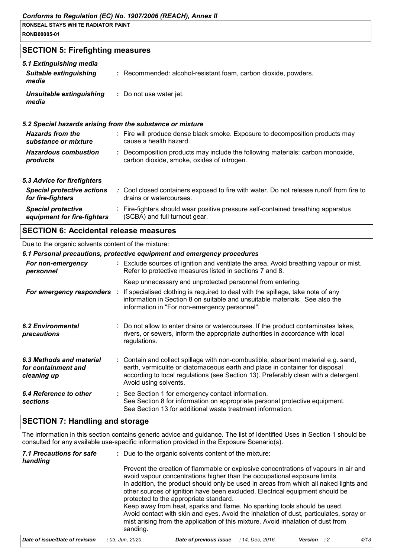| RONSEAL STAYS WHITE RADIATOR PAINT |  |
|------------------------------------|--|
| <b>RONB00005-01</b>                |  |

### **SECTION 5: Firefighting measures**

| 5.1 Extinguishing media<br><b>Suitable extinguishing</b><br>media | : Recommended: alcohol-resistant foam, carbon dioxide, powders.                                                              |
|-------------------------------------------------------------------|------------------------------------------------------------------------------------------------------------------------------|
| Unsuitable extinguishing<br>media                                 | : Do not use water jet.                                                                                                      |
|                                                                   | 5.2 Special hazards arising from the substance or mixture                                                                    |
| <b>Hazards from the</b><br>substance or mixture                   | : Fire will produce dense black smoke. Exposure to decomposition products may<br>cause a health hazard.                      |
| <b>Hazardous combustion</b><br>products                           | : Decomposition products may include the following materials: carbon monoxide,<br>carbon dioxide, smoke, oxides of nitrogen. |
| 5.3 Advice for firefighters                                       |                                                                                                                              |
| <b>Special protective actions</b><br>for fire-fighters            | : Cool closed containers exposed to fire with water. Do not release runoff from fire to<br>drains or watercourses.           |
| <b>Special protective</b><br>equipment for fire-fighters          | : Fire-fighters should wear positive pressure self-contained breathing apparatus<br>(SCBA) and full turnout gear.            |
|                                                                   |                                                                                                                              |

#### **SECTION 6: Accidental release measures**

#### Due to the organic solvents content of the mixture:

|                                                                | 6.1 Personal precautions, protective equipment and emergency procedures                                                                                                                                                                                                            |
|----------------------------------------------------------------|------------------------------------------------------------------------------------------------------------------------------------------------------------------------------------------------------------------------------------------------------------------------------------|
| For non-emergency<br>personnel                                 | : Exclude sources of ignition and ventilate the area. Avoid breathing vapour or mist.<br>Refer to protective measures listed in sections 7 and 8.                                                                                                                                  |
|                                                                | Keep unnecessary and unprotected personnel from entering.                                                                                                                                                                                                                          |
| For emergency responders :                                     | If specialised clothing is required to deal with the spillage, take note of any<br>information in Section 8 on suitable and unsuitable materials. See also the<br>information in "For non-emergency personnel".                                                                    |
| <b>6.2 Environmental</b><br>precautions                        | : Do not allow to enter drains or watercourses. If the product contaminates lakes,<br>rivers, or sewers, inform the appropriate authorities in accordance with local<br>regulations.                                                                                               |
| 6.3 Methods and material<br>for containment and<br>cleaning up | : Contain and collect spillage with non-combustible, absorbent material e.g. sand,<br>earth, vermiculite or diatomaceous earth and place in container for disposal<br>according to local regulations (see Section 13). Preferably clean with a detergent.<br>Avoid using solvents. |
| 6.4 Reference to other<br><b>sections</b>                      | : See Section 1 for emergency contact information.<br>See Section 8 for information on appropriate personal protective equipment.<br>See Section 13 for additional waste treatment information.                                                                                    |

### **SECTION 7: Handling and storage**

The information in this section contains generic advice and guidance. The list of Identified Uses in Section 1 should be consulted for any available use-specific information provided in the Exposure Scenario(s).

| 7.1 Precautions for safe<br>handling |                  | : Due to the organic solvents content of the mixture:                                                                                                                                                                                                  |                  |                                                                                                                                                                                                                                                                                                                                           |  |      |
|--------------------------------------|------------------|--------------------------------------------------------------------------------------------------------------------------------------------------------------------------------------------------------------------------------------------------------|------------------|-------------------------------------------------------------------------------------------------------------------------------------------------------------------------------------------------------------------------------------------------------------------------------------------------------------------------------------------|--|------|
|                                      |                  | protected to the appropriate standard.                                                                                                                                                                                                                 |                  | Prevent the creation of flammable or explosive concentrations of vapours in air and<br>avoid vapour concentrations higher than the occupational exposure limits.<br>In addition, the product should only be used in areas from which all naked lights and<br>other sources of ignition have been excluded. Electrical equipment should be |  |      |
|                                      | sanding.         | Keep away from heat, sparks and flame. No sparking tools should be used.<br>Avoid contact with skin and eyes. Avoid the inhalation of dust, particulates, spray or<br>mist arising from the application of this mixture. Avoid inhalation of dust from |                  |                                                                                                                                                                                                                                                                                                                                           |  |      |
| Date of issue/Date of revision       | : 03. Jun. 2020. | Date of previous issue                                                                                                                                                                                                                                 | : 14. Dec. 2016. | Version : 2                                                                                                                                                                                                                                                                                                                               |  | 4/13 |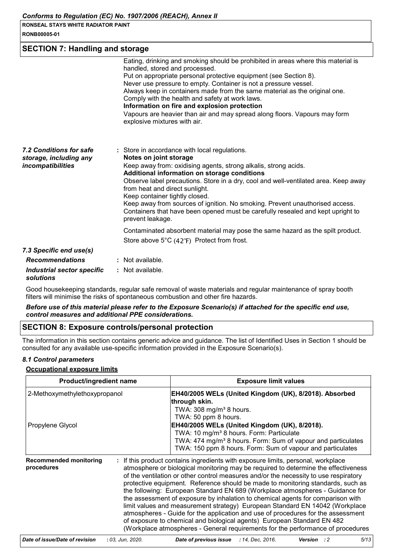|  | <b>RONSEAL STAYS WHITE RADIATOR PAINT</b> |  |
|--|-------------------------------------------|--|
|  |                                           |  |

| <b>RONB00005-01</b> |  |
|---------------------|--|
|---------------------|--|

#### **SECTION 7: Handling and storage**

|                                                                        | Eating, drinking and smoking should be prohibited in areas where this material is<br>handled, stored and processed.<br>Put on appropriate personal protective equipment (see Section 8).<br>Never use pressure to empty. Container is not a pressure vessel.<br>Always keep in containers made from the same material as the original one.<br>Comply with the health and safety at work laws.<br>Information on fire and explosion protection<br>Vapours are heavier than air and may spread along floors. Vapours may form<br>explosive mixtures with air. |
|------------------------------------------------------------------------|-------------------------------------------------------------------------------------------------------------------------------------------------------------------------------------------------------------------------------------------------------------------------------------------------------------------------------------------------------------------------------------------------------------------------------------------------------------------------------------------------------------------------------------------------------------|
| 7.2 Conditions for safe<br>storage, including any<br>incompatibilities | : Store in accordance with local regulations.<br>Notes on joint storage<br>Keep away from: oxidising agents, strong alkalis, strong acids.<br>Additional information on storage conditions<br>Observe label precautions. Store in a dry, cool and well-ventilated area. Keep away<br>from heat and direct sunlight.<br>Keep container tightly closed.<br>Keep away from sources of ignition. No smoking. Prevent unauthorised access.<br>Containers that have been opened must be carefully resealed and kept upright to<br>prevent leakage.                |
|                                                                        | Contaminated absorbent material may pose the same hazard as the spilt product.                                                                                                                                                                                                                                                                                                                                                                                                                                                                              |
|                                                                        | Store above $5^{\circ}C$ (42 $^{\circ}F$ ) Protect from frost.                                                                                                                                                                                                                                                                                                                                                                                                                                                                                              |
| 7.3 Specific end use(s)                                                |                                                                                                                                                                                                                                                                                                                                                                                                                                                                                                                                                             |
| <b>Recommendations</b>                                                 | : Not available.                                                                                                                                                                                                                                                                                                                                                                                                                                                                                                                                            |
| Industrial sector specific                                             | : Not available.                                                                                                                                                                                                                                                                                                                                                                                                                                                                                                                                            |

#### *solutions*

Good housekeeping standards, regular safe removal of waste materials and regular maintenance of spray booth filters will minimise the risks of spontaneous combustion and other fire hazards.

#### *Before use of this material please refer to the Exposure Scenario(s) if attached for the specific end use, control measures and additional PPE considerations.*

#### **SECTION 8: Exposure controls/personal protection**

The information in this section contains generic advice and guidance. The list of Identified Uses in Section 1 should be consulted for any available use-specific information provided in the Exposure Scenario(s).

#### *8.1 Control parameters*

#### **Occupational exposure limits**

| <b>Product/ingredient name</b><br>2-Methoxymethylethoxypropanol |  | <b>Exposure limit values</b><br>EH40/2005 WELs (United Kingdom (UK), 8/2018). Absorbed<br>through skin.<br>TWA: $308 \text{ mg/m}^3$ 8 hours.                                                                                                                                                                                                                                                                                                                                                                                                                                                                                                                                                                                                                                                                                                         |  |
|-----------------------------------------------------------------|--|-------------------------------------------------------------------------------------------------------------------------------------------------------------------------------------------------------------------------------------------------------------------------------------------------------------------------------------------------------------------------------------------------------------------------------------------------------------------------------------------------------------------------------------------------------------------------------------------------------------------------------------------------------------------------------------------------------------------------------------------------------------------------------------------------------------------------------------------------------|--|
|                                                                 |  |                                                                                                                                                                                                                                                                                                                                                                                                                                                                                                                                                                                                                                                                                                                                                                                                                                                       |  |
| <b>Recommended monitoring</b><br>procedures                     |  | If this product contains ingredients with exposure limits, personal, workplace<br>atmosphere or biological monitoring may be required to determine the effectiveness<br>of the ventilation or other control measures and/or the necessity to use respiratory<br>protective equipment. Reference should be made to monitoring standards, such as<br>the following: European Standard EN 689 (Workplace atmospheres - Guidance for<br>the assessment of exposure by inhalation to chemical agents for comparison with<br>limit values and measurement strategy) European Standard EN 14042 (Workplace<br>atmospheres - Guide for the application and use of procedures for the assessment<br>of exposure to chemical and biological agents) European Standard EN 482<br>(Workplace atmospheres - General requirements for the performance of procedures |  |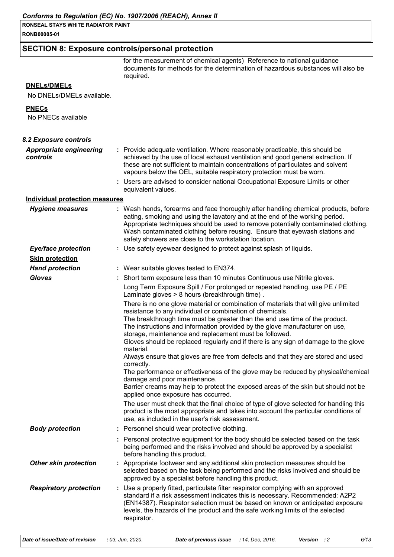**RONSEAL STAYS WHITE RADIATOR PAINT RONB00005-01**

#### **SECTION 8: Exposure controls/personal protection**

for the measurement of chemical agents) Reference to national guidance documents for methods for the determination of hazardous substances will also be required.

#### **DNELs/DMELs**

No DNELs/DMELs available.

#### **PNECs**

No PNECs available

| 8.2 Exposure controls                      |                                                                                                                                                                                                                                                                                                                                                                                                                                                                                                                                                                                                                                                                                                                                                                                                                                   |
|--------------------------------------------|-----------------------------------------------------------------------------------------------------------------------------------------------------------------------------------------------------------------------------------------------------------------------------------------------------------------------------------------------------------------------------------------------------------------------------------------------------------------------------------------------------------------------------------------------------------------------------------------------------------------------------------------------------------------------------------------------------------------------------------------------------------------------------------------------------------------------------------|
| <b>Appropriate engineering</b><br>controls | : Provide adequate ventilation. Where reasonably practicable, this should be<br>achieved by the use of local exhaust ventilation and good general extraction. If<br>these are not sufficient to maintain concentrations of particulates and solvent<br>vapours below the OEL, suitable respiratory protection must be worn.                                                                                                                                                                                                                                                                                                                                                                                                                                                                                                       |
|                                            | : Users are advised to consider national Occupational Exposure Limits or other<br>equivalent values.                                                                                                                                                                                                                                                                                                                                                                                                                                                                                                                                                                                                                                                                                                                              |
| <b>Individual protection measures</b>      |                                                                                                                                                                                                                                                                                                                                                                                                                                                                                                                                                                                                                                                                                                                                                                                                                                   |
| <b>Hygiene measures</b>                    | : Wash hands, forearms and face thoroughly after handling chemical products, before<br>eating, smoking and using the lavatory and at the end of the working period.<br>Appropriate techniques should be used to remove potentially contaminated clothing.<br>Wash contaminated clothing before reusing. Ensure that eyewash stations and<br>safety showers are close to the workstation location.                                                                                                                                                                                                                                                                                                                                                                                                                                 |
| <b>Eye/face protection</b>                 | : Use safety eyewear designed to protect against splash of liquids.                                                                                                                                                                                                                                                                                                                                                                                                                                                                                                                                                                                                                                                                                                                                                               |
| <b>Skin protection</b>                     |                                                                                                                                                                                                                                                                                                                                                                                                                                                                                                                                                                                                                                                                                                                                                                                                                                   |
| <b>Hand protection</b>                     | : Wear suitable gloves tested to EN374.                                                                                                                                                                                                                                                                                                                                                                                                                                                                                                                                                                                                                                                                                                                                                                                           |
| <b>Gloves</b>                              | : Short term exposure less than 10 minutes Continuous use Nitrile gloves.                                                                                                                                                                                                                                                                                                                                                                                                                                                                                                                                                                                                                                                                                                                                                         |
|                                            | Long Term Exposure Spill / For prolonged or repeated handling, use PE / PE<br>Laminate gloves > 8 hours (breakthrough time).                                                                                                                                                                                                                                                                                                                                                                                                                                                                                                                                                                                                                                                                                                      |
|                                            | There is no one glove material or combination of materials that will give unlimited<br>resistance to any individual or combination of chemicals.<br>The breakthrough time must be greater than the end use time of the product.<br>The instructions and information provided by the glove manufacturer on use,<br>storage, maintenance and replacement must be followed.<br>Gloves should be replaced regularly and if there is any sign of damage to the glove<br>material.<br>Always ensure that gloves are free from defects and that they are stored and used<br>correctly.<br>The performance or effectiveness of the glove may be reduced by physical/chemical<br>damage and poor maintenance.<br>Barrier creams may help to protect the exposed areas of the skin but should not be<br>applied once exposure has occurred. |
|                                            | The user must check that the final choice of type of glove selected for handling this<br>product is the most appropriate and takes into account the particular conditions of<br>use, as included in the user's risk assessment.                                                                                                                                                                                                                                                                                                                                                                                                                                                                                                                                                                                                   |
| <b>Body protection</b>                     | : Personnel should wear protective clothing.                                                                                                                                                                                                                                                                                                                                                                                                                                                                                                                                                                                                                                                                                                                                                                                      |
|                                            | : Personal protective equipment for the body should be selected based on the task<br>being performed and the risks involved and should be approved by a specialist<br>before handling this product.                                                                                                                                                                                                                                                                                                                                                                                                                                                                                                                                                                                                                               |
| <b>Other skin protection</b>               | : Appropriate footwear and any additional skin protection measures should be<br>selected based on the task being performed and the risks involved and should be<br>approved by a specialist before handling this product.                                                                                                                                                                                                                                                                                                                                                                                                                                                                                                                                                                                                         |
| <b>Respiratory protection</b>              | : Use a properly fitted, particulate filter respirator complying with an approved<br>standard if a risk assessment indicates this is necessary. Recommended: A2P2<br>(EN14387). Respirator selection must be based on known or anticipated exposure<br>levels, the hazards of the product and the safe working limits of the selected<br>respirator.                                                                                                                                                                                                                                                                                                                                                                                                                                                                              |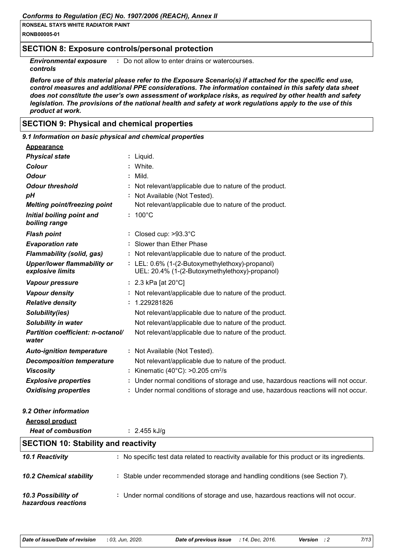**RONB00005-01**

#### **SECTION 8: Exposure controls/personal protection**

**Environmental exposure** : Do not allow to enter drains or watercourses.

*controls*

*Before use of this material please refer to the Exposure Scenario(s) if attached for the specific end use, control measures and additional PPE considerations. The information contained in this safety data sheet does not constitute the user's own assessment of workplace risks, as required by other health and safety legislation. The provisions of the national health and safety at work regulations apply to the use of this product at work.*

#### **SECTION 9: Physical and chemical properties**

| 9.1 Information on basic physical and chemical properties |                                                                                                   |
|-----------------------------------------------------------|---------------------------------------------------------------------------------------------------|
| <b>Appearance</b>                                         |                                                                                                   |
| <b>Physical state</b>                                     | : Liquid.                                                                                         |
| <b>Colour</b>                                             | : White.                                                                                          |
| <b>Odour</b>                                              | $:$ Mild.                                                                                         |
| <b>Odour threshold</b>                                    | : Not relevant/applicable due to nature of the product.                                           |
| pH                                                        | : Not Available (Not Tested).                                                                     |
| Melting point/freezing point                              | Not relevant/applicable due to nature of the product.                                             |
| Initial boiling point and<br>boiling range                | $: 100^{\circ}$ C                                                                                 |
| <b>Flash point</b>                                        | : Closed cup: >93.3°C                                                                             |
| <b>Evaporation rate</b>                                   | : Slower than Ether Phase                                                                         |
| <b>Flammability (solid, gas)</b>                          | : Not relevant/applicable due to nature of the product.                                           |
| <b>Upper/lower flammability or</b><br>explosive limits    | : LEL: 0.6% (1-(2-Butoxymethylethoxy)-propanol)<br>UEL: 20.4% (1-(2-Butoxymethylethoxy)-propanol) |
| Vapour pressure                                           | : 2.3 kPa [at $20^{\circ}$ C]                                                                     |
| <b>Vapour density</b>                                     | : Not relevant/applicable due to nature of the product.                                           |
| <b>Relative density</b>                                   | : 1.229281826                                                                                     |
| Solubility(ies)                                           | Not relevant/applicable due to nature of the product.                                             |
| <b>Solubility in water</b>                                | Not relevant/applicable due to nature of the product.                                             |
| Partition coefficient: n-octanol/<br>water                | Not relevant/applicable due to nature of the product.                                             |
| <b>Auto-ignition temperature</b>                          | : Not Available (Not Tested).                                                                     |
| <b>Decomposition temperature</b>                          | Not relevant/applicable due to nature of the product.                                             |
| <b>Viscosity</b>                                          | : Kinematic (40°C): >0.205 cm <sup>2</sup> /s                                                     |
| <b>Explosive properties</b>                               | : Under normal conditions of storage and use, hazardous reactions will not occur.                 |
| <b>Oxidising properties</b>                               | : Under normal conditions of storage and use, hazardous reactions will not occur.                 |
| 9.2 Other information                                     |                                                                                                   |
| Aerosol product                                           |                                                                                                   |

| . <b></b> .                                 |                                                                                              |
|---------------------------------------------|----------------------------------------------------------------------------------------------|
| <b>Heat of combustion</b>                   | : $2.455$ kJ/g                                                                               |
| <b>SECTION 10: Stability and reactivity</b> |                                                                                              |
| 10.1 Reactivity                             | : No specific test data related to reactivity available for this product or its ingredients. |
| <b>10.2 Chemical stability</b>              | : Stable under recommended storage and handling conditions (see Section 7).                  |
| 10.3 Possibility of<br>hazardous reactions  | : Under normal conditions of storage and use, hazardous reactions will not occur.            |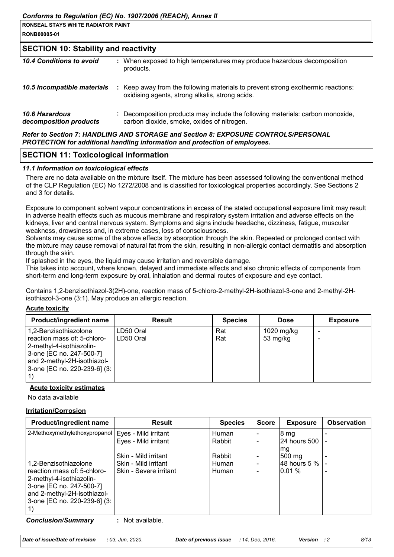| <b>I RONSEAL STAYS WHITE RADIATOR PAINT</b> |  |
|---------------------------------------------|--|
| <b>RONB00005-01</b>                         |  |

#### **SECTION 10: Stability and reactivity**

| 10.4 Conditions to avoid                        | : When exposed to high temperatures may produce hazardous decomposition<br>products.                                                |
|-------------------------------------------------|-------------------------------------------------------------------------------------------------------------------------------------|
| 10.5 Incompatible materials                     | : Keep away from the following materials to prevent strong exothermic reactions:<br>oxidising agents, strong alkalis, strong acids. |
| <b>10.6 Hazardous</b><br>decomposition products | : Decomposition products may include the following materials: carbon monoxide,<br>carbon dioxide, smoke, oxides of nitrogen.        |

#### *Refer to Section 7: HANDLING AND STORAGE and Section 8: EXPOSURE CONTROLS/PERSONAL PROTECTION for additional handling information and protection of employees.*

#### **SECTION 11: Toxicological information**

#### *11.1 Information on toxicological effects*

There are no data available on the mixture itself. The mixture has been assessed following the conventional method of the CLP Regulation (EC) No 1272/2008 and is classified for toxicological properties accordingly. See Sections 2 and 3 for details.

Exposure to component solvent vapour concentrations in excess of the stated occupational exposure limit may result in adverse health effects such as mucous membrane and respiratory system irritation and adverse effects on the kidneys, liver and central nervous system. Symptoms and signs include headache, dizziness, fatigue, muscular weakness, drowsiness and, in extreme cases, loss of consciousness.

Solvents may cause some of the above effects by absorption through the skin. Repeated or prolonged contact with the mixture may cause removal of natural fat from the skin, resulting in non-allergic contact dermatitis and absorption through the skin.

If splashed in the eyes, the liquid may cause irritation and reversible damage.

This takes into account, where known, delayed and immediate effects and also chronic effects of components from short-term and long-term exposure by oral, inhalation and dermal routes of exposure and eye contact.

Contains 1,2-benzisothiazol-3(2H)-one, reaction mass of 5-chloro-2-methyl-2H-isothiazol-3-one and 2-methyl-2Hisothiazol-3-one (3:1). May produce an allergic reaction.

#### **Acute toxicity**

| Product/ingredient name                                                                                                                                                     | <b>Result</b>          | <b>Species</b> | <b>Dose</b>            | <b>Exposure</b> |
|-----------------------------------------------------------------------------------------------------------------------------------------------------------------------------|------------------------|----------------|------------------------|-----------------|
| 1,2-Benzisothiazolone<br>reaction mass of: 5-chloro-<br>2-methyl-4-isothiazolin-<br>3-one [EC no. 247-500-7]<br>and 2-methyl-2H-isothiazol-<br>3-one [EC no. 220-239-6] (3: | LD50 Oral<br>LD50 Oral | Rat<br>Rat     | 1020 mg/kg<br>53 mg/kg |                 |

#### **Acute toxicity estimates**

No data available

#### **Irritation/Corrosion**

| Product/ingredient name                                                              | <b>Result</b>          | <b>Species</b> | <b>Score</b> | <b>Exposure</b>    | <b>Observation</b> |
|--------------------------------------------------------------------------------------|------------------------|----------------|--------------|--------------------|--------------------|
| 2-Methoxymethylethoxypropanol   Eyes - Mild irritant                                 |                        | Human          |              | 8 <sub>mg</sub>    |                    |
|                                                                                      | Eyes - Mild irritant   | Rabbit         |              | 24 hours 500   -   |                    |
|                                                                                      |                        |                |              | mg                 |                    |
|                                                                                      | Skin - Mild irritant   | Rabbit         |              | $ 500 \text{ mg} $ |                    |
| 1,2-Benzisothiazolone                                                                | Skin - Mild irritant   | Human          |              | 48 hours 5 %       |                    |
| reaction mass of: 5-chloro-<br> 2-methyl-4-isothiazolin-<br>3-one [EC no. 247-500-7] | Skin - Severe irritant | Human          |              | 0.01%              |                    |
| and 2-methyl-2H-isothiazol-<br>3-one [EC no. 220-239-6] (3:                          |                        |                |              |                    |                    |
| Canalusian (Cumananus                                                                | ملطمانهن والملداد      |                |              |                    |                    |

*Conclusion/Summary* **:** Not available.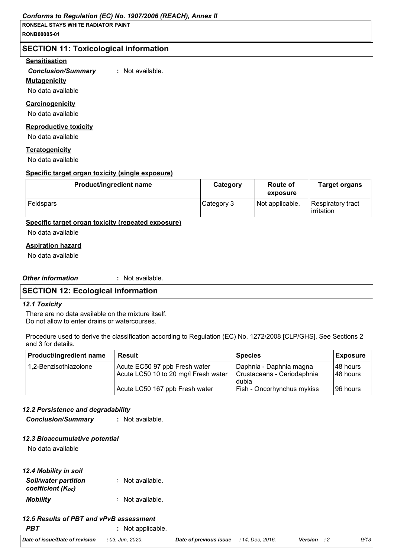**RONSEAL STAYS WHITE RADIATOR PAINT RONB00005-01**

#### **SECTION 11: Toxicological information**

#### **Sensitisation**

*Conclusion/Summary* **:** Not available.

#### **Mutagenicity**

No data available

#### **Carcinogenicity**

No data available

#### **Reproductive toxicity**

No data available

#### **Teratogenicity**

No data available

#### **Specific target organ toxicity (single exposure)**

| <b>Product/ingredient name</b> | Category   | <b>Route of</b><br>exposure | <b>Target organs</b>                     |
|--------------------------------|------------|-----------------------------|------------------------------------------|
| Feldspars                      | Category 3 | Not applicable.             | Respiratory tract<br><b>l</b> irritation |

#### **Specific target organ toxicity (repeated exposure)**

No data available

#### **Aspiration hazard**

No data available

#### *Other information* **:**

: Not available.

#### **SECTION 12: Ecological information**

#### *12.1 Toxicity*

There are no data available on the mixture itself. Do not allow to enter drains or watercourses.

Procedure used to derive the classification according to Regulation (EC) No. 1272/2008 [CLP/GHS]. See Sections 2 and 3 for details.

| <b>Product/ingredient name</b> | <b>Result</b>                        | <b>Species</b>                    | Exposure  |
|--------------------------------|--------------------------------------|-----------------------------------|-----------|
| 1,2-Benzisothiazolone          | Acute EC50 97 ppb Fresh water        | Daphnia - Daphnia magna           | 148 hours |
|                                | Acute LC50 10 to 20 mg/l Fresh water | Crustaceans - Ceriodaphnia        | 148 hours |
|                                |                                      | dubia                             |           |
|                                | Acute LC50 167 ppb Fresh water       | <b>Fish - Oncorhynchus mykiss</b> | 196 hours |

#### *12.2 Persistence and degradability*

*Conclusion/Summary* **:** Not available.

#### *12.3 Bioaccumulative potential*

No data available

| 12.4 Mobility in soil                            |                  |
|--------------------------------------------------|------------------|
| <b>Soil/water partition</b><br>coefficient (Koc) | : Not available. |
| <b>Mobility</b>                                  | : Not available. |

#### *12.5 Results of PBT and vPvB assessment*

**PBT** : Not applicable.

*Date of issue/Date of revision* **:** *03, Jun, 2020. Date of previous issue : 14, Dec, 2016. Version : 2 9/13*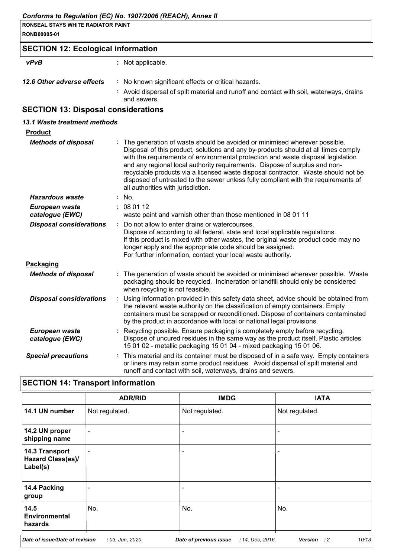|                                            | Conforms to Regulation (EC) No. 1907/2006 (REACH), Annex II                                                                                                                                                                                                                                                                                                                                                                                                                                                                                        |
|--------------------------------------------|----------------------------------------------------------------------------------------------------------------------------------------------------------------------------------------------------------------------------------------------------------------------------------------------------------------------------------------------------------------------------------------------------------------------------------------------------------------------------------------------------------------------------------------------------|
| <b>RONSEAL STAYS WHITE RADIATOR PAINT</b>  |                                                                                                                                                                                                                                                                                                                                                                                                                                                                                                                                                    |
| RONB00005-01                               |                                                                                                                                                                                                                                                                                                                                                                                                                                                                                                                                                    |
| <b>SECTION 12: Ecological information</b>  |                                                                                                                                                                                                                                                                                                                                                                                                                                                                                                                                                    |
| <b>vPvB</b>                                | : Not applicable.                                                                                                                                                                                                                                                                                                                                                                                                                                                                                                                                  |
| 12.6 Other adverse effects                 | : No known significant effects or critical hazards.<br>: Avoid dispersal of spilt material and runoff and contact with soil, waterways, drains<br>and sewers.                                                                                                                                                                                                                                                                                                                                                                                      |
| <b>SECTION 13: Disposal considerations</b> |                                                                                                                                                                                                                                                                                                                                                                                                                                                                                                                                                    |
| 13.1 Waste treatment methods               |                                                                                                                                                                                                                                                                                                                                                                                                                                                                                                                                                    |
| <b>Product</b>                             |                                                                                                                                                                                                                                                                                                                                                                                                                                                                                                                                                    |
| <b>Methods of disposal</b>                 | The generation of waste should be avoided or minimised wherever possible.<br>Disposal of this product, solutions and any by-products should at all times comply<br>with the requirements of environmental protection and waste disposal legislation<br>and any regional local authority requirements. Dispose of surplus and non-<br>recyclable products via a licensed waste disposal contractor. Waste should not be<br>disposed of untreated to the sewer unless fully compliant with the requirements of<br>all authorities with jurisdiction. |
| <b>Hazardous waste</b>                     | : No.                                                                                                                                                                                                                                                                                                                                                                                                                                                                                                                                              |
| European waste<br>catalogue (EWC)          | : 080112<br>waste paint and varnish other than those mentioned in 08 01 11                                                                                                                                                                                                                                                                                                                                                                                                                                                                         |
| <b>Disposal considerations</b>             | : Do not allow to enter drains or watercourses.<br>Dispose of according to all federal, state and local applicable regulations.<br>If this product is mixed with other wastes, the original waste product code may no<br>longer apply and the appropriate code should be assigned.<br>For further information, contact your local waste authority.                                                                                                                                                                                                 |
| Packaging                                  |                                                                                                                                                                                                                                                                                                                                                                                                                                                                                                                                                    |
| <b>Methods of disposal</b>                 | : The generation of waste should be avoided or minimised wherever possible. Waste<br>packaging should be recycled. Incineration or landfill should only be considered<br>when recycling is not feasible.                                                                                                                                                                                                                                                                                                                                           |
| <b>Disposal considerations</b>             | Using information provided in this safety data sheet, advice should be obtained from<br>the relevant waste authority on the classification of empty containers. Empty<br>containers must be scrapped or reconditioned. Dispose of containers contaminated<br>by the product in accordance with local or national legal provisions.                                                                                                                                                                                                                 |
| European waste<br>catalogue (EWC)          | Recycling possible. Ensure packaging is completely empty before recycling.<br>Dispose of uncured residues in the same way as the product itself. Plastic articles<br>15 01 02 - metallic packaging 15 01 04 - mixed packaging 15 01 06.                                                                                                                                                                                                                                                                                                            |
| <b>Special precautions</b>                 | : This material and its container must be disposed of in a safe way. Empty containers<br>or liners may retain some product residues. Avoid dispersal of spilt material and<br>runoff and contact with soil, waterways, drains and sewers.                                                                                                                                                                                                                                                                                                          |

## **SECTION 14: Transport information**

|                                                        | <b>ADR/RID</b>           | <b>IMDG</b>            | <b>IATA</b>                              |
|--------------------------------------------------------|--------------------------|------------------------|------------------------------------------|
| 14.1 UN number                                         | Not regulated.           | Not regulated.         | Not regulated.                           |
| 14.2 UN proper<br>shipping name                        | $\overline{\phantom{a}}$ | ٠                      |                                          |
| 14.3 Transport<br><b>Hazard Class(es)/</b><br>Label(s) | ٠                        | ٠                      |                                          |
| 14.4 Packing<br>group                                  |                          | ٠                      |                                          |
| 14.5<br><b>Environmental</b><br>hazards                | No.                      | No.                    | No.                                      |
| Date of issue/Date of revision                         | : 03, Jun, 2020.         | Date of previous issue | 10/13<br>: 14, Dec, 2016.<br>Version : 2 |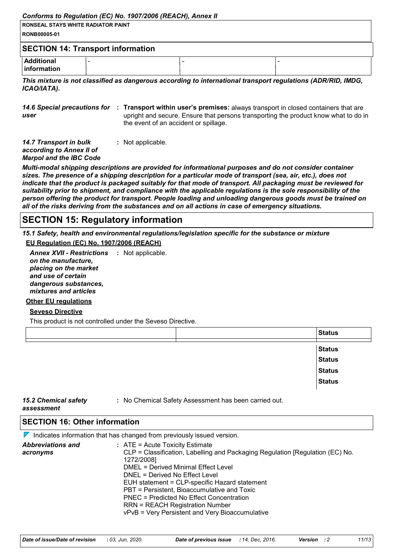#### *Conforms to Regulation (EC) No. 1907/2006 (REACH), Annex II*

| <b>RONSEAL STAYS WHITE RADIATOR PAINT</b><br><b>RONB00005-01</b> |                                          |  |
|------------------------------------------------------------------|------------------------------------------|--|
|                                                                  | <b>SECTION 14: Transport information</b> |  |
| <b>Additional</b><br><b>Information</b>                          |                                          |  |

*This mixture is not classified as dangerous according to international transport regulations (ADR/RID, IMDG, ICAO/IATA).*

14.6 Special precautions for : Transport within user's premises: always transport in closed containers that are *user* upright and secure. Ensure that persons transporting the product know what to do in the event of an accident or spillage.

| 14.7 Transport in bulk         | : Not applicable. |  |
|--------------------------------|-------------------|--|
| according to Annex II of       |                   |  |
| <b>Marpol and the IBC Code</b> |                   |  |
|                                |                   |  |

*Multi-modal shipping descriptions are provided for informational purposes and do not consider container sizes. The presence of a shipping description for a particular mode of transport (sea, air, etc.), does not indicate that the product is packaged suitably for that mode of transport. All packaging must be reviewed for suitability prior to shipment, and compliance with the applicable regulations is the sole responsibility of the person offering the product for transport. People loading and unloading dangerous goods must be trained on all of the risks deriving from the substances and on all actions in case of emergency situations.*

### **SECTION 15: Regulatory information**

*15.1 Safety, health and environmental regulations/legislation specific for the substance or mixture* **EU Regulation (EC) No. 1907/2006 (REACH)**

**Annex XVII - Restrictions : Not applicable.** *on the manufacture, placing on the market and use of certain dangerous substances, mixtures and articles*

#### **Other EU regulations**

#### **Seveso Directive**

This product is not controlled under the Seveso Directive.

|  | <b>Status</b> |
|--|---------------|
|  | <b>Status</b> |
|  | <b>Status</b> |
|  | <b>Status</b> |
|  | <b>Status</b> |
|  |               |

#### *15.2 Chemical safety assessment*

**:** No Chemical Safety Assessment has been carried out.

|  | <b>SECTION 16: Other information</b> |  |
|--|--------------------------------------|--|
|  |                                      |  |

|                                      | $\mathcal V$ Indicates information that has changed from previously issued version.                                                                                                                                                                                                                                                                                                                                                                |
|--------------------------------------|----------------------------------------------------------------------------------------------------------------------------------------------------------------------------------------------------------------------------------------------------------------------------------------------------------------------------------------------------------------------------------------------------------------------------------------------------|
| <b>Abbreviations and</b><br>acronyms | $:$ ATE = Acute Toxicity Estimate<br>CLP = Classification, Labelling and Packaging Regulation [Regulation (EC) No.<br>1272/2008]<br>DMEL = Derived Minimal Effect Level<br>DNEL = Derived No Effect Level<br>EUH statement = CLP-specific Hazard statement<br>PBT = Persistent, Bioaccumulative and Toxic<br>PNEC = Predicted No Effect Concentration<br><b>RRN = REACH Registration Number</b><br>vPvB = Very Persistent and Very Bioaccumulative |
|                                      |                                                                                                                                                                                                                                                                                                                                                                                                                                                    |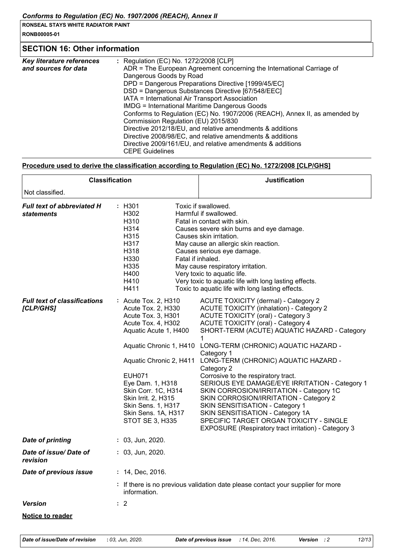**RONB00005-01**

### **SECTION 16: Other information**

| : Regulation (EC) No. 1272/2008 [CLP]                                      |
|----------------------------------------------------------------------------|
| ADR = The European Agreement concerning the International Carriage of      |
| Dangerous Goods by Road                                                    |
| DPD = Dangerous Preparations Directive [1999/45/EC]                        |
| DSD = Dangerous Substances Directive [67/548/EEC]                          |
| IATA = International Air Transport Association                             |
| <b>IMDG = International Maritime Dangerous Goods</b>                       |
| Conforms to Regulation (EC) No. 1907/2006 (REACH), Annex II, as amended by |
| Commission Regulation (EU) 2015/830                                        |
| Directive 2012/18/EU, and relative amendments & additions                  |
| Directive 2008/98/EC, and relative amendments & additions                  |
| Directive 2009/161/EU, and relative amendments & additions                 |
| <b>CEPE Guidelines</b>                                                     |
|                                                                            |

#### **Procedure used to derive the classification according to Regulation (EC) No. 1272/2008 [CLP/GHS]**

| : H301<br>Toxic if swallowed.<br>H302<br>Harmful if swallowed.<br>H310<br>Fatal in contact with skin.<br>H314<br>Causes severe skin burns and eye damage.<br>H315<br>Causes skin irritation.<br>H317<br>May cause an allergic skin reaction.<br>H318<br>Causes serious eye damage.<br>Fatal if inhaled.<br>H330<br>H335<br>May cause respiratory irritation.<br>H400<br>Very toxic to aquatic life.<br>H410<br>Very toxic to aquatic life with long lasting effects.<br>Toxic to aquatic life with long lasting effects.<br>H411<br><b>ACUTE TOXICITY (dermal) - Category 2</b><br>: Acute Tox. 2, H310<br>Acute Tox. 2, H330<br><b>ACUTE TOXICITY (inhalation) - Category 2</b><br><b>ACUTE TOXICITY (oral) - Category 3</b><br>Acute Tox. 3, H301<br><b>ACUTE TOXICITY (oral) - Category 4</b><br>Acute Tox. 4, H302<br>Aquatic Acute 1, H400<br>SHORT-TERM (ACUTE) AQUATIC HAZARD - Category<br>LONG-TERM (CHRONIC) AQUATIC HAZARD -<br>Aquatic Chronic 1, H410<br>Category 1<br>LONG-TERM (CHRONIC) AQUATIC HAZARD -<br>Aquatic Chronic 2, H411<br>Category 2<br><b>EUH071</b><br>Corrosive to the respiratory tract.<br>SERIOUS EYE DAMAGE/EYE IRRITATION - Category 1<br>Eye Dam. 1, H318<br>SKIN CORROSION/IRRITATION - Category 1C<br>Skin Corr. 1C, H314<br>Skin Irrit. 2, H315<br>SKIN CORROSION/IRRITATION - Category 2<br>SKIN SENSITISATION - Category 1<br>Skin Sens. 1, H317<br>Skin Sens. 1A, H317<br>SKIN SENSITISATION - Category 1A<br>SPECIFIC TARGET ORGAN TOXICITY - SINGLE<br><b>STOT SE 3, H335</b><br>EXPOSURE (Respiratory tract irritation) - Category 3<br>$: 03,$ Jun, 2020.<br>$: 03,$ Jun, 2020.<br>: 14, Dec, 2016.<br>: If there is no previous validation date please contact your supplier for more<br>information.<br>: 2 | <b>Classification</b>                            |  | <b>Justification</b> |  |
|---------------------------------------------------------------------------------------------------------------------------------------------------------------------------------------------------------------------------------------------------------------------------------------------------------------------------------------------------------------------------------------------------------------------------------------------------------------------------------------------------------------------------------------------------------------------------------------------------------------------------------------------------------------------------------------------------------------------------------------------------------------------------------------------------------------------------------------------------------------------------------------------------------------------------------------------------------------------------------------------------------------------------------------------------------------------------------------------------------------------------------------------------------------------------------------------------------------------------------------------------------------------------------------------------------------------------------------------------------------------------------------------------------------------------------------------------------------------------------------------------------------------------------------------------------------------------------------------------------------------------------------------------------------------------------------------------------------------------------------------------------------|--------------------------------------------------|--|----------------------|--|
|                                                                                                                                                                                                                                                                                                                                                                                                                                                                                                                                                                                                                                                                                                                                                                                                                                                                                                                                                                                                                                                                                                                                                                                                                                                                                                                                                                                                                                                                                                                                                                                                                                                                                                                                                               | Not classified.                                  |  |                      |  |
|                                                                                                                                                                                                                                                                                                                                                                                                                                                                                                                                                                                                                                                                                                                                                                                                                                                                                                                                                                                                                                                                                                                                                                                                                                                                                                                                                                                                                                                                                                                                                                                                                                                                                                                                                               | <b>Full text of abbreviated H</b><br>statements  |  |                      |  |
|                                                                                                                                                                                                                                                                                                                                                                                                                                                                                                                                                                                                                                                                                                                                                                                                                                                                                                                                                                                                                                                                                                                                                                                                                                                                                                                                                                                                                                                                                                                                                                                                                                                                                                                                                               | <b>Full text of classifications</b><br>[CLP/GHS] |  |                      |  |
|                                                                                                                                                                                                                                                                                                                                                                                                                                                                                                                                                                                                                                                                                                                                                                                                                                                                                                                                                                                                                                                                                                                                                                                                                                                                                                                                                                                                                                                                                                                                                                                                                                                                                                                                                               | <b>Date of printing</b>                          |  |                      |  |
|                                                                                                                                                                                                                                                                                                                                                                                                                                                                                                                                                                                                                                                                                                                                                                                                                                                                                                                                                                                                                                                                                                                                                                                                                                                                                                                                                                                                                                                                                                                                                                                                                                                                                                                                                               | Date of issue/Date of<br>revision                |  |                      |  |
|                                                                                                                                                                                                                                                                                                                                                                                                                                                                                                                                                                                                                                                                                                                                                                                                                                                                                                                                                                                                                                                                                                                                                                                                                                                                                                                                                                                                                                                                                                                                                                                                                                                                                                                                                               | Date of previous issue                           |  |                      |  |
|                                                                                                                                                                                                                                                                                                                                                                                                                                                                                                                                                                                                                                                                                                                                                                                                                                                                                                                                                                                                                                                                                                                                                                                                                                                                                                                                                                                                                                                                                                                                                                                                                                                                                                                                                               |                                                  |  |                      |  |
|                                                                                                                                                                                                                                                                                                                                                                                                                                                                                                                                                                                                                                                                                                                                                                                                                                                                                                                                                                                                                                                                                                                                                                                                                                                                                                                                                                                                                                                                                                                                                                                                                                                                                                                                                               | <b>Version</b>                                   |  |                      |  |
|                                                                                                                                                                                                                                                                                                                                                                                                                                                                                                                                                                                                                                                                                                                                                                                                                                                                                                                                                                                                                                                                                                                                                                                                                                                                                                                                                                                                                                                                                                                                                                                                                                                                                                                                                               | <b>Notice to reader</b>                          |  |                      |  |